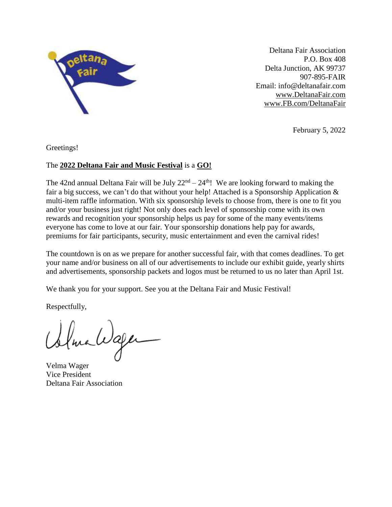

Deltana Fair Association P.O. Box 408 Delta Junction, AK 99737 907-895-FAIR Email: info@deltanafair.com www.DeltanaFair.com [www.FB.com/DeltanaFair](http://www.fb.com/DeltanaFair)

February 5, 2022

Greetings!

#### The **2022 Deltana Fair and Music Festival** is a **GO!**

The 42nd annual Deltana Fair will be July  $22<sup>nd</sup> - 24<sup>th</sup>$ ! We are looking forward to making the fair a big success, we can't do that without your help! Attached is a Sponsorship Application  $\&$ multi-item raffle information. With six sponsorship levels to choose from, there is one to fit you and/or your business just right! Not only does each level of sponsorship come with its own rewards and recognition your sponsorship helps us pay for some of the many events/items everyone has come to love at our fair. Your sponsorship donations help pay for awards, premiums for fair participants, security, music entertainment and even the carnival rides!

The countdown is on as we prepare for another successful fair, with that comes deadlines. To get your name and/or business on all of our advertisements to include our exhibit guide, yearly shirts and advertisements, sponsorship packets and logos must be returned to us no later than April 1st.

We thank you for your support. See you at the Deltana Fair and Music Festival!

Respectfully,

llma Wager

Velma Wager Vice President Deltana Fair Association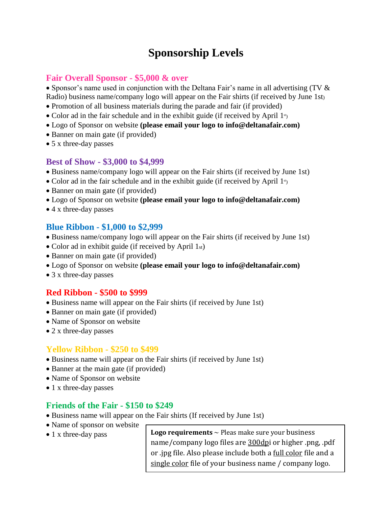## **Sponsorship Levels**

#### **Fair Overall Sponsor - \$5,000 & over**

• Sponsor's name used in conjunction with the Deltana Fair's name in all advertising (TV  $\&$ Radio) business name/company logo will appear on the Fair shirts (if received by June 1st)

- Promotion of all business materials during the parade and fair (if provided)
- $\bullet$  Color ad in the fair schedule and in the exhibit guide (if received by April 1st)
- Logo of Sponsor on website **(please email your logo to info@deltanafair.com)**
- Banner on main gate (if provided)
- 5 x three-day passes

#### **Best of Show - \$3,000 to \$4,999**

- Business name/company logo will appear on the Fair shirts (if received by June 1st)
- Color ad in the fair schedule and in the exhibit guide (if received by April  $1<sup>s</sup>$ )
- Banner on main gate (if provided)
- Logo of Sponsor on website **(please email your logo to info@deltanafair.com)**
- 4 x three-day passes

#### **Blue Ribbon - \$1,000 to \$2,999**

- Business name/company logo will appear on the Fair shirts (if received by June 1st)
- Color ad in exhibit guide (if received by April 1st)
- Banner on main gate (if provided)
- Logo of Sponsor on website **(please email your logo to info@deltanafair.com)**
- 3 x three-day passes

#### **Red Ribbon - \$500 to \$999**

- Business name will appear on the Fair shirts (if received by June 1st)
- Banner on main gate (if provided)
- Name of Sponsor on website
- 2 x three-day passes

#### **Yellow Ribbon - \$250 to \$499**

- Business name will appear on the Fair shirts (if received by June 1st)
- Banner at the main gate (if provided)
- Name of Sponsor on website
- 1 x three-day passes

#### **Friends of the Fair - \$150 to \$249**

- Business name will appear on the Fair shirts (If received by June 1st)
- Name of sponsor on website
- 

• 1 x three-day pass **Logo requirements** ~ Pleas make sure your business name/company logo files are 300dpi or higher .png, .pdf or .jpg file. Also please include both a <u>full color</u> file and a single color file of your business name / company logo.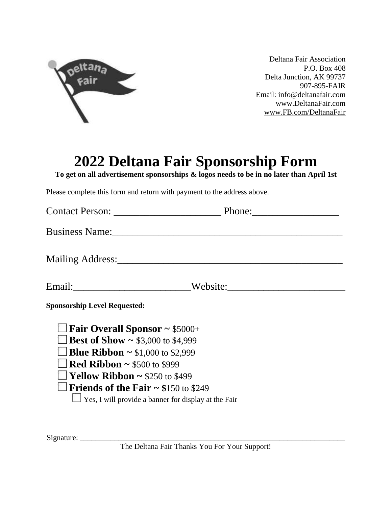

Deltana Fair Association P.O. Box 408 Delta Junction, AK 99737 907-895-FAIR Email: info@deltanafair.com www.DeltanaFair.com [www.FB.com/DeltanaFair](http://www.fb.com/DeltanaFair)

# **2022 Deltana Fair Sponsorship Form**

**To get on all advertisement sponsorships & logos needs to be in no later than April 1st**

Please complete this form and return with payment to the address above.

|                                                             | Phone: $\frac{1}{\sqrt{1-\frac{1}{2}} \cdot \frac{1}{2}}$ |
|-------------------------------------------------------------|-----------------------------------------------------------|
| <b>Business Name:</b>                                       |                                                           |
| Mailing Address:                                            |                                                           |
|                                                             | Website:                                                  |
| <b>Sponsorship Level Requested:</b>                         |                                                           |
| $\Box$ Fair Overall Sponsor ~ \$5000+                       |                                                           |
| <b>Example 1</b> Best of Show $\sim$ \$3,000 to \$4,999     |                                                           |
| <b>Blue Ribbon</b> $\sim$ \$1,000 to \$2,999                |                                                           |
| $\Box$ <b>Red Ribbon ~</b> \$500 to \$999                   |                                                           |
| $\Box$ Yellow Ribbon ~ \$250 to \$499                       |                                                           |
| $\Box$ Friends of the Fair ~ \$150 to \$249                 |                                                           |
| $\Box$ Yes, I will provide a banner for display at the Fair |                                                           |

Signature: